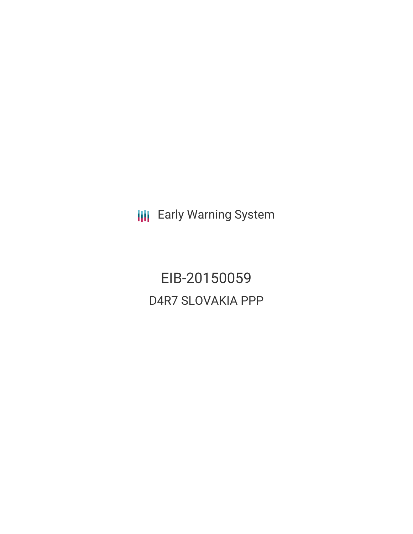**III** Early Warning System

EIB-20150059 D4R7 SLOVAKIA PPP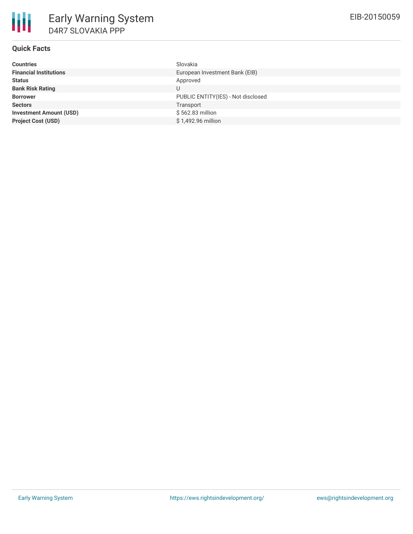## **Quick Facts**

| <b>Countries</b>               | Slovakia                           |
|--------------------------------|------------------------------------|
| <b>Financial Institutions</b>  | European Investment Bank (EIB)     |
| <b>Status</b>                  | Approved                           |
| <b>Bank Risk Rating</b>        | U                                  |
| <b>Borrower</b>                | PUBLIC ENTITY(IES) - Not disclosed |
| <b>Sectors</b>                 | Transport                          |
| <b>Investment Amount (USD)</b> | \$562.83 million                   |
| <b>Project Cost (USD)</b>      | \$1,492.96 million                 |
|                                |                                    |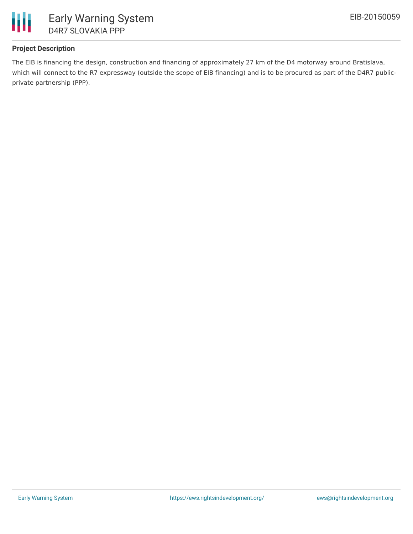

## **Project Description**

The EIB is financing the design, construction and financing of approximately 27 km of the D4 motorway around Bratislava, which will connect to the R7 expressway (outside the scope of EIB financing) and is to be procured as part of the D4R7 publicprivate partnership (PPP).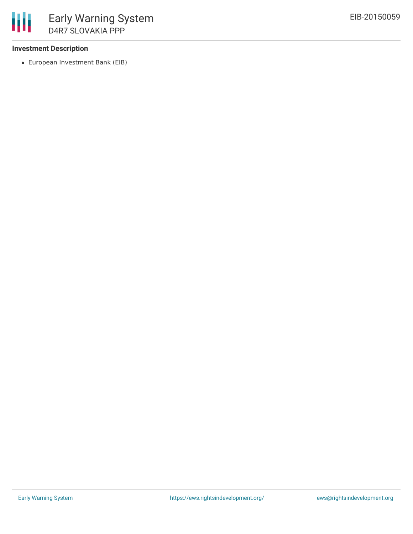#### **Investment Description**

European Investment Bank (EIB)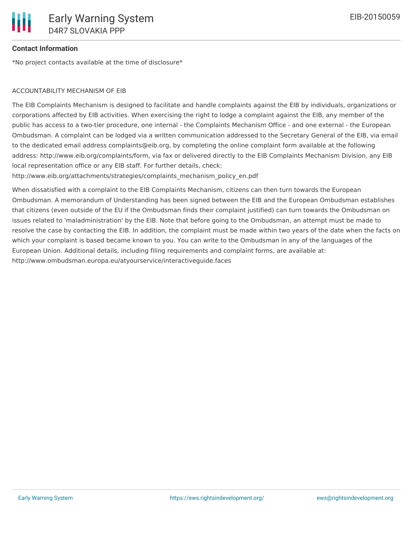# **Contact Information**

\*No project contacts available at the time of disclosure\*

## ACCOUNTABILITY MECHANISM OF EIB

The EIB Complaints Mechanism is designed to facilitate and handle complaints against the EIB by individuals, organizations or corporations affected by EIB activities. When exercising the right to lodge a complaint against the EIB, any member of the public has access to a two-tier procedure, one internal - the Complaints Mechanism Office - and one external - the European Ombudsman. A complaint can be lodged via a written communication addressed to the Secretary General of the EIB, via email to the dedicated email address complaints@eib.org, by completing the online complaint form available at the following address: http://www.eib.org/complaints/form, via fax or delivered directly to the EIB Complaints Mechanism Division, any EIB local representation office or any EIB staff. For further details, check:

http://www.eib.org/attachments/strategies/complaints\_mechanism\_policy\_en.pdf

When dissatisfied with a complaint to the EIB Complaints Mechanism, citizens can then turn towards the European Ombudsman. A memorandum of Understanding has been signed between the EIB and the European Ombudsman establishes that citizens (even outside of the EU if the Ombudsman finds their complaint justified) can turn towards the Ombudsman on issues related to 'maladministration' by the EIB. Note that before going to the Ombudsman, an attempt must be made to resolve the case by contacting the EIB. In addition, the complaint must be made within two years of the date when the facts on which your complaint is based became known to you. You can write to the Ombudsman in any of the languages of the European Union. Additional details, including filing requirements and complaint forms, are available at: http://www.ombudsman.europa.eu/atyourservice/interactiveguide.faces